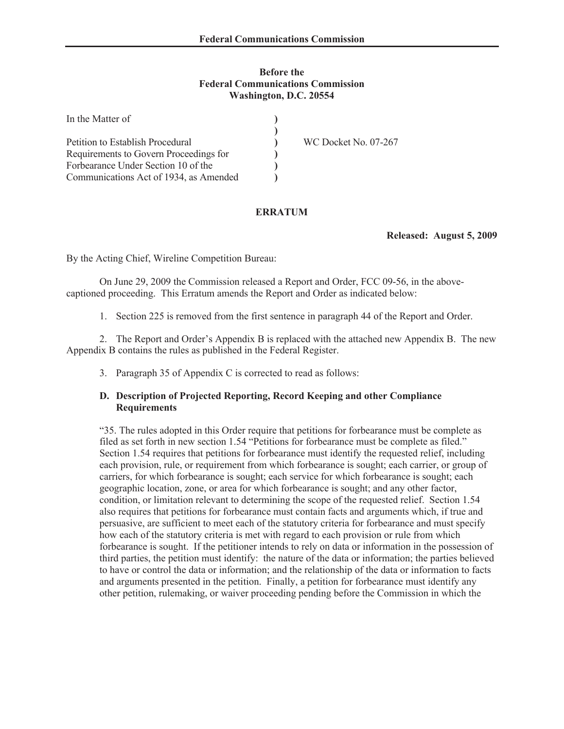#### **Before the Federal Communications Commission Washington, D.C. 20554**

| In the Matter of                       |                      |
|----------------------------------------|----------------------|
|                                        |                      |
| Petition to Establish Procedural       | WC Docket No. 07-267 |
| Requirements to Govern Proceedings for |                      |
| Forbearance Under Section 10 of the    |                      |
| Communications Act of 1934, as Amended |                      |

## **ERRATUM**

**Released: August 5, 2009**

By the Acting Chief, Wireline Competition Bureau:

On June 29, 2009 the Commission released a Report and Order, FCC 09-56, in the abovecaptioned proceeding. This Erratum amends the Report and Order as indicated below:

1. Section 225 is removed from the first sentence in paragraph 44 of the Report and Order.

2. The Report and Order's Appendix B is replaced with the attached new Appendix B. The new Appendix B contains the rules as published in the Federal Register.

3. Paragraph 35 of Appendix C is corrected to read as follows:

#### **D. Description of Projected Reporting, Record Keeping and other Compliance Requirements**

"35. The rules adopted in this Order require that petitions for forbearance must be complete as filed as set forth in new section 1.54 "Petitions for forbearance must be complete as filed." Section 1.54 requires that petitions for forbearance must identify the requested relief, including each provision, rule, or requirement from which forbearance is sought; each carrier, or group of carriers, for which forbearance is sought; each service for which forbearance is sought; each geographic location, zone, or area for which forbearance is sought; and any other factor, condition, or limitation relevant to determining the scope of the requested relief. Section 1.54 also requires that petitions for forbearance must contain facts and arguments which, if true and persuasive, are sufficient to meet each of the statutory criteria for forbearance and must specify how each of the statutory criteria is met with regard to each provision or rule from which forbearance is sought. If the petitioner intends to rely on data or information in the possession of third parties, the petition must identify: the nature of the data or information; the parties believed to have or control the data or information; and the relationship of the data or information to facts and arguments presented in the petition. Finally, a petition for forbearance must identify any other petition, rulemaking, or waiver proceeding pending before the Commission in which the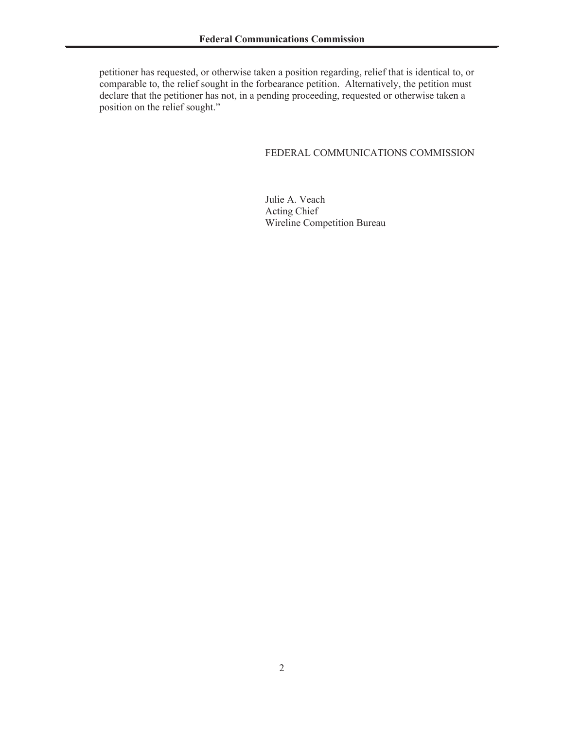petitioner has requested, or otherwise taken a position regarding, relief that is identical to, or comparable to, the relief sought in the forbearance petition. Alternatively, the petition must declare that the petitioner has not, in a pending proceeding, requested or otherwise taken a position on the relief sought."

### FEDERAL COMMUNICATIONS COMMISSION

Julie A. Veach Acting Chief Wireline Competition Bureau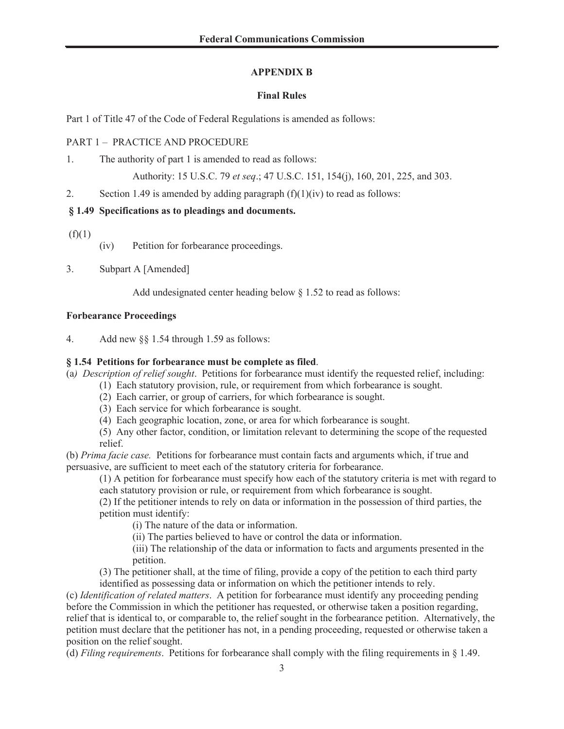## **APPENDIX B**

## **Final Rules**

Part 1 of Title 47 of the Code of Federal Regulations is amended as follows:

## PART 1 – PRACTICE AND PROCEDURE

1. The authority of part 1 is amended to read as follows:

Authority: 15 U.S.C. 79 *et seq*.; 47 U.S.C. 151, 154(j), 160, 201, 225, and 303.

2. Section 1.49 is amended by adding paragraph  $(f)(1)(iv)$  to read as follows:

# **§ 1.49 Specifications as to pleadings and documents.**

- $(f)(1)$
- (iv) Petition for forbearance proceedings.
- 3. Subpart A [Amended]

Add undesignated center heading below § 1.52 to read as follows:

#### **Forbearance Proceedings**

4. Add new §§ 1.54 through 1.59 as follows:

## **§ 1.54 Petitions for forbearance must be complete as filed**.

(a*) Description of relief sought*. Petitions for forbearance must identify the requested relief, including:

- (1) Each statutory provision, rule, or requirement from which forbearance is sought.
- (2) Each carrier, or group of carriers, for which forbearance is sought.
- (3) Each service for which forbearance is sought.
- (4) Each geographic location, zone, or area for which forbearance is sought.
- (5) Any other factor, condition, or limitation relevant to determining the scope of the requested relief.

(b) *Prima facie case.* Petitions for forbearance must contain facts and arguments which, if true and persuasive, are sufficient to meet each of the statutory criteria for forbearance.

(1) A petition for forbearance must specify how each of the statutory criteria is met with regard to each statutory provision or rule, or requirement from which forbearance is sought.

(2) If the petitioner intends to rely on data or information in the possession of third parties, the petition must identify:

(i) The nature of the data or information.

(ii) The parties believed to have or control the data or information.

(iii) The relationship of the data or information to facts and arguments presented in the petition.

(3) The petitioner shall, at the time of filing, provide a copy of the petition to each third party identified as possessing data or information on which the petitioner intends to rely.

(c) *Identification of related matters*. A petition for forbearance must identify any proceeding pending before the Commission in which the petitioner has requested, or otherwise taken a position regarding, relief that is identical to, or comparable to, the relief sought in the forbearance petition. Alternatively, the petition must declare that the petitioner has not, in a pending proceeding, requested or otherwise taken a position on the relief sought.

(d) *Filing requirements*. Petitions for forbearance shall comply with the filing requirements in § 1.49.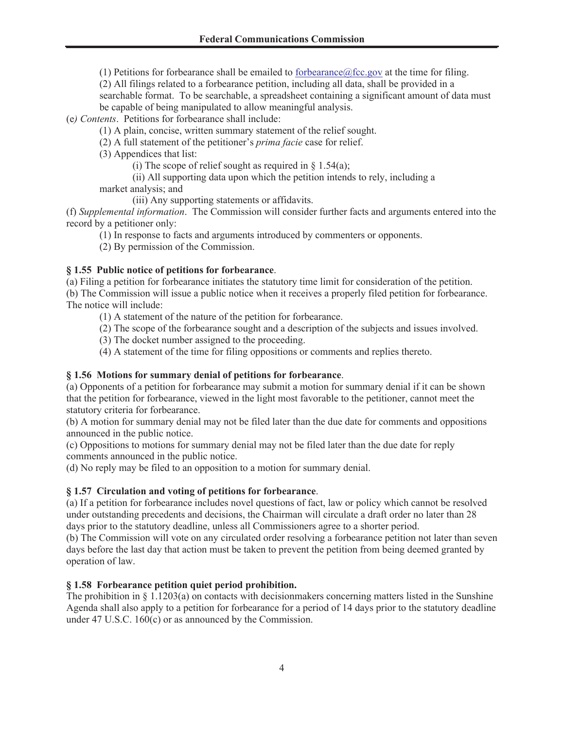(1) Petitions for forbearance shall be emailed to forbearance@fcc.gov at the time for filing.

(2) All filings related to a forbearance petition, including all data, shall be provided in a searchable format. To be searchable, a spreadsheet containing a significant amount of data must be capable of being manipulated to allow meaningful analysis.

(e*) Contents*. Petitions for forbearance shall include:

(1) A plain, concise, written summary statement of the relief sought.

(2) A full statement of the petitioner's *prima facie* case for relief.

(3) Appendices that list:

(i) The scope of relief sought as required in  $\S$  1.54(a);

(ii) All supporting data upon which the petition intends to rely, including a market analysis; and

(iii) Any supporting statements or affidavits.

(f) *Supplemental information*. The Commission will consider further facts and arguments entered into the record by a petitioner only:

(1) In response to facts and arguments introduced by commenters or opponents.

(2) By permission of the Commission.

## **§ 1.55 Public notice of petitions for forbearance**.

(a) Filing a petition for forbearance initiates the statutory time limit for consideration of the petition. (b) The Commission will issue a public notice when it receives a properly filed petition for forbearance. The notice will include:

(1) A statement of the nature of the petition for forbearance.

(2) The scope of the forbearance sought and a description of the subjects and issues involved.

(3) The docket number assigned to the proceeding.

(4) A statement of the time for filing oppositions or comments and replies thereto.

# **§ 1.56 Motions for summary denial of petitions for forbearance**.

(a) Opponents of a petition for forbearance may submit a motion for summary denial if it can be shown that the petition for forbearance, viewed in the light most favorable to the petitioner, cannot meet the statutory criteria for forbearance.

(b) A motion for summary denial may not be filed later than the due date for comments and oppositions announced in the public notice.

(c) Oppositions to motions for summary denial may not be filed later than the due date for reply comments announced in the public notice.

(d) No reply may be filed to an opposition to a motion for summary denial.

# **§ 1.57 Circulation and voting of petitions for forbearance**.

(a) If a petition for forbearance includes novel questions of fact, law or policy which cannot be resolved under outstanding precedents and decisions, the Chairman will circulate a draft order no later than 28 days prior to the statutory deadline, unless all Commissioners agree to a shorter period.

(b) The Commission will vote on any circulated order resolving a forbearance petition not later than seven days before the last day that action must be taken to prevent the petition from being deemed granted by operation of law.

# **§ 1.58 Forbearance petition quiet period prohibition.**

The prohibition in  $\S 1.1203(a)$  on contacts with decisionmakers concerning matters listed in the Sunshine Agenda shall also apply to a petition for forbearance for a period of 14 days prior to the statutory deadline under 47 U.S.C. 160(c) or as announced by the Commission.